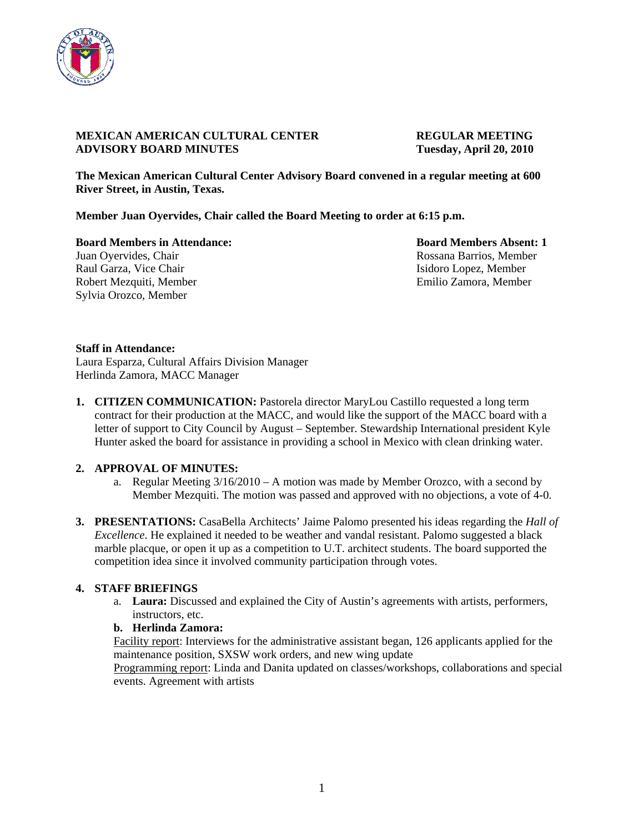

# **MEXICAN AMERICAN CULTURAL CENTER REGULAR MEETING ADVISORY BOARD MINUTES Tuesday, April 20, 2010**

**The Mexican American Cultural Center Advisory Board convened in a regular meeting at 600 River Street, in Austin, Texas.** 

**Member Juan Oyervides, Chair called the Board Meeting to order at 6:15 p.m.** 

**Board Members in Attendance: Board Members Absent: 1** Juan Oyervides, Chair **Rossana Barrios, Member** Rossana Barrios, Member Raul Garza, Vice Chair **Isidoro Lopez, Member** Isidoro Lopez, Member Robert Mezquiti, Member Emilio Zamora, Member Sylvia Orozco, Member

## **Staff in Attendance:**

Laura Esparza, Cultural Affairs Division Manager Herlinda Zamora, MACC Manager

**1. CITIZEN COMMUNICATION:** Pastorela director MaryLou Castillo requested a long term contract for their production at the MACC, and would like the support of the MACC board with a letter of support to City Council by August – September. Stewardship International president Kyle Hunter asked the board for assistance in providing a school in Mexico with clean drinking water.

## **2. APPROVAL OF MINUTES:**

- a. Regular Meeting 3/16/2010 A motion was made by Member Orozco, with a second by Member Mezquiti. The motion was passed and approved with no objections, a vote of 4-0.
- **3. PRESENTATIONS:** CasaBella Architects' Jaime Palomo presented his ideas regarding the *Hall of Excellence*. He explained it needed to be weather and vandal resistant. Palomo suggested a black marble placque, or open it up as a competition to U.T. architect students. The board supported the competition idea since it involved community participation through votes.

## **4. STAFF BRIEFINGS**

a. **Laura:** Discussed and explained the City of Austin's agreements with artists, performers, instructors, etc.

# **b. Herlinda Zamora:**

Facility report: Interviews for the administrative assistant began, 126 applicants applied for the maintenance position, SXSW work orders, and new wing update

Programming report: Linda and Danita updated on classes/workshops, collaborations and special events. Agreement with artists